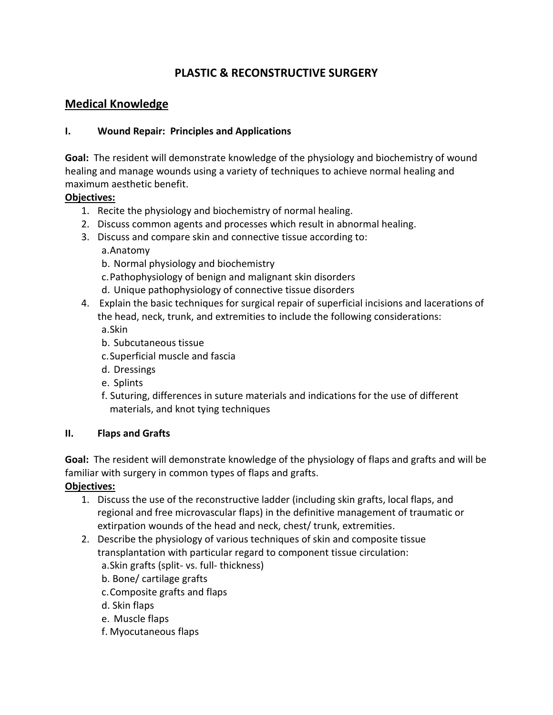# **PLASTIC & RECONSTRUCTIVE SURGERY**

# **Medical Knowledge**

### **I. Wound Repair: Principles and Applications**

**Goal:** The resident will demonstrate knowledge of the physiology and biochemistry of wound healing and manage wounds using a variety of techniques to achieve normal healing and maximum aesthetic benefit.

### **Objectives:**

- 1. Recite the physiology and biochemistry of normal healing.
- 2. Discuss common agents and processes which result in abnormal healing.
- 3. Discuss and compare skin and connective tissue according to:

a.Anatomy

- b. Normal physiology and biochemistry
- c.Pathophysiology of benign and malignant skin disorders
- d. Unique pathophysiology of connective tissue disorders
- 4. Explain the basic techniques for surgical repair of superficial incisions and lacerations of the head, neck, trunk, and extremities to include the following considerations: a.Skin
	- b. Subcutaneous tissue
	- c.Superficial muscle and fascia
	- d. Dressings
	- e. Splints
	- f. Suturing, differences in suture materials and indications for the use of different materials, and knot tying techniques

### **II. Flaps and Grafts**

**Goal:** The resident will demonstrate knowledge of the physiology of flaps and grafts and will be familiar with surgery in common types of flaps and grafts.

### **Objectives:**

- 1. Discuss the use of the reconstructive ladder (including skin grafts, local flaps, and regional and free microvascular flaps) in the definitive management of traumatic or extirpation wounds of the head and neck, chest/ trunk, extremities.
- 2. Describe the physiology of various techniques of skin and composite tissue transplantation with particular regard to component tissue circulation:
	- a.Skin grafts (split- vs. full- thickness)
	- b. Bone/ cartilage grafts
	- c.Composite grafts and flaps
	- d. Skin flaps
	- e. Muscle flaps
	- f. Myocutaneous flaps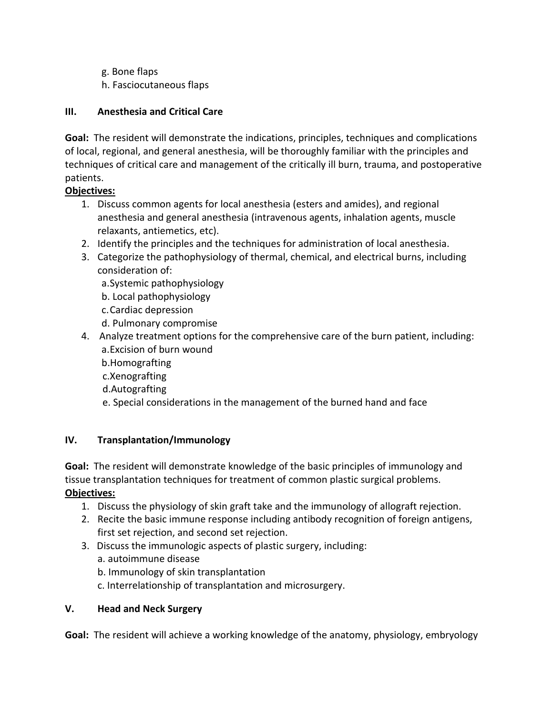- g. Bone flaps
- h. Fasciocutaneous flaps

# **III. Anesthesia and Critical Care**

**Goal:** The resident will demonstrate the indications, principles, techniques and complications of local, regional, and general anesthesia, will be thoroughly familiar with the principles and techniques of critical care and management of the critically ill burn, trauma, and postoperative patients.

# **Objectives:**

- 1. Discuss common agents for local anesthesia (esters and amides), and regional anesthesia and general anesthesia (intravenous agents, inhalation agents, muscle relaxants, antiemetics, etc).
- 2. Identify the principles and the techniques for administration of local anesthesia.
- 3. Categorize the pathophysiology of thermal, chemical, and electrical burns, including consideration of:
	- a.Systemic pathophysiology
	- b. Local pathophysiology
	- c.Cardiac depression
	- d. Pulmonary compromise
- 4. Analyze treatment options for the comprehensive care of the burn patient, including: a.Excision of burn wound
	- b.Homografting
	- c.Xenografting
	- d.Autografting
	- e. Special considerations in the management of the burned hand and face

### **IV. Transplantation/Immunology**

**Goal:** The resident will demonstrate knowledge of the basic principles of immunology and tissue transplantation techniques for treatment of common plastic surgical problems. **Objectives:**

- 1. Discuss the physiology of skin graft take and the immunology of allograft rejection.
- 2. Recite the basic immune response including antibody recognition of foreign antigens, first set rejection, and second set rejection.
- 3. Discuss the immunologic aspects of plastic surgery, including: a. autoimmune disease
	- b. Immunology of skin transplantation
	- c. Interrelationship of transplantation and microsurgery.

### **V. Head and Neck Surgery**

**Goal:** The resident will achieve a working knowledge of the anatomy, physiology, embryology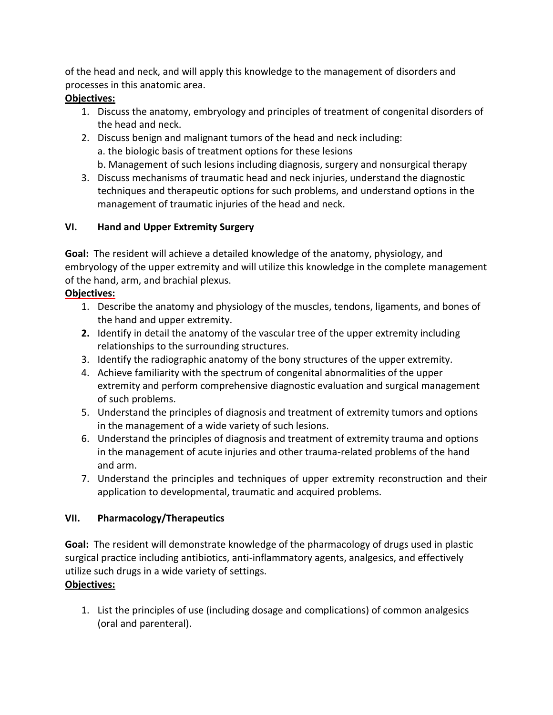of the head and neck, and will apply this knowledge to the management of disorders and processes in this anatomic area.

# **Objectives:**

- 1. Discuss the anatomy, embryology and principles of treatment of congenital disorders of the head and neck.
- 2. Discuss benign and malignant tumors of the head and neck including: a. the biologic basis of treatment options for these lesions b. Management of such lesions including diagnosis, surgery and nonsurgical therapy
- 3. Discuss mechanisms of traumatic head and neck injuries, understand the diagnostic techniques and therapeutic options for such problems, and understand options in the management of traumatic injuries of the head and neck.

# **VI. Hand and Upper Extremity Surgery**

**Goal:** The resident will achieve a detailed knowledge of the anatomy, physiology, and embryology of the upper extremity and will utilize this knowledge in the complete management of the hand, arm, and brachial plexus.

# **Objectives:**

- 1. Describe the anatomy and physiology of the muscles, tendons, ligaments, and bones of the hand and upper extremity.
- **2.** Identify in detail the anatomy of the vascular tree of the upper extremity including relationships to the surrounding structures.
- 3. Identify the radiographic anatomy of the bony structures of the upper extremity.
- 4. Achieve familiarity with the spectrum of congenital abnormalities of the upper extremity and perform comprehensive diagnostic evaluation and surgical management of such problems.
- 5. Understand the principles of diagnosis and treatment of extremity tumors and options in the management of a wide variety of such lesions.
- 6. Understand the principles of diagnosis and treatment of extremity trauma and options in the management of acute injuries and other trauma-related problems of the hand and arm.
- 7. Understand the principles and techniques of upper extremity reconstruction and their application to developmental, traumatic and acquired problems.

# **VII. Pharmacology/Therapeutics**

**Goal:** The resident will demonstrate knowledge of the pharmacology of drugs used in plastic surgical practice including antibiotics, anti-inflammatory agents, analgesics, and effectively utilize such drugs in a wide variety of settings.

# **Objectives:**

1. List the principles of use (including dosage and complications) of common analgesics (oral and parenteral).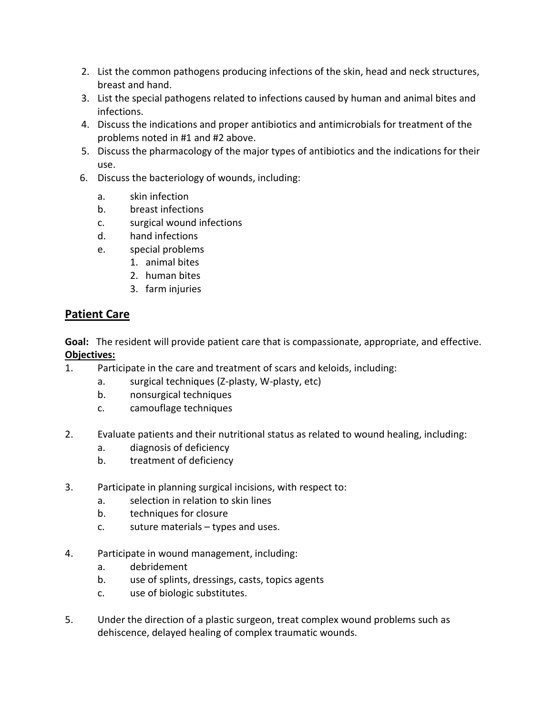- 2. List the common pathogens producing infections of the skin, head and neck structures, breast and hand.
- 3. List the special pathogens related to infections caused by human and animal bites and infections.
- 4. Discuss the indications and proper antibiotics and antimicrobials for treatment of the problems noted in #1 and #2 above.
- 5. Discuss the pharmacology of the major types of antibiotics and the indications for their use.
- 6. Discuss the bacteriology of wounds, including:
	- a. skin infection
	- b. breast infections
	- c. surgical wound infections
	- d. hand infections
	- e. special problems
		- 1. animal bites
		- 2. human bites
		- 3. farm injuries

# **Patient Care**

**Goal:** The resident will provide patient care that is compassionate, appropriate, and effective. **Objectives:**

- 1. Participate in the care and treatment of scars and keloids, including:
	- a. surgical techniques (Z-plasty, W-plasty, etc)
	- b. nonsurgical techniques
	- c. camouflage techniques
- 2. Evaluate patients and their nutritional status as related to wound healing, including:
	- a. diagnosis of deficiency
	- b. treatment of deficiency
- 3. Participate in planning surgical incisions, with respect to:
	- a. selection in relation to skin lines
	- b. techniques for closure
	- c. suture materials types and uses.
- 4. Participate in wound management, including:
	- a. debridement
	- b. use of splints, dressings, casts, topics agents
	- c. use of biologic substitutes.
- 5. Under the direction of a plastic surgeon, treat complex wound problems such as dehiscence, delayed healing of complex traumatic wounds.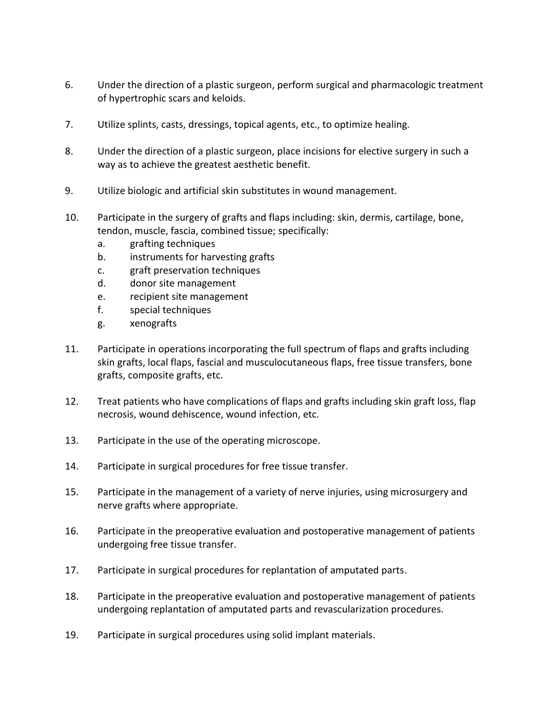- 6. Under the direction of a plastic surgeon, perform surgical and pharmacologic treatment of hypertrophic scars and keloids.
- 7. Utilize splints, casts, dressings, topical agents, etc., to optimize healing.
- 8. Under the direction of a plastic surgeon, place incisions for elective surgery in such a way as to achieve the greatest aesthetic benefit.
- 9. Utilize biologic and artificial skin substitutes in wound management.
- 10. Participate in the surgery of grafts and flaps including: skin, dermis, cartilage, bone, tendon, muscle, fascia, combined tissue; specifically:
	- a. grafting techniques
	- b. instruments for harvesting grafts
	- c. graft preservation techniques
	- d. donor site management
	- e. recipient site management
	- f. special techniques
	- g. xenografts
- 11. Participate in operations incorporating the full spectrum of flaps and grafts including skin grafts, local flaps, fascial and musculocutaneous flaps, free tissue transfers, bone grafts, composite grafts, etc.
- 12. Treat patients who have complications of flaps and grafts including skin graft loss, flap necrosis, wound dehiscence, wound infection, etc.
- 13. Participate in the use of the operating microscope.
- 14. Participate in surgical procedures for free tissue transfer.
- 15. Participate in the management of a variety of nerve injuries, using microsurgery and nerve grafts where appropriate.
- 16. Participate in the preoperative evaluation and postoperative management of patients undergoing free tissue transfer.
- 17. Participate in surgical procedures for replantation of amputated parts.
- 18. Participate in the preoperative evaluation and postoperative management of patients undergoing replantation of amputated parts and revascularization procedures.
- 19. Participate in surgical procedures using solid implant materials.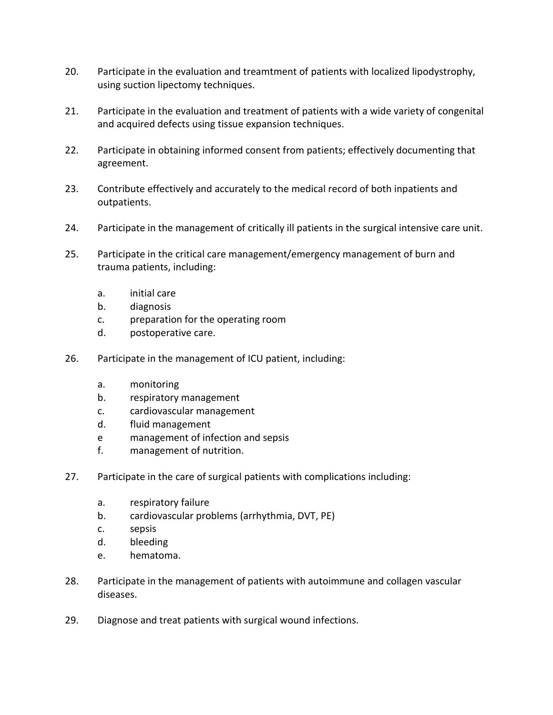- 20. Participate in the evaluation and treamtment of patients with localized lipodystrophy, using suction lipectomy techniques.
- 21. Participate in the evaluation and treatment of patients with a wide variety of congenital and acquired defects using tissue expansion techniques.
- 22. Participate in obtaining informed consent from patients; effectively documenting that agreement.
- 23. Contribute effectively and accurately to the medical record of both inpatients and outpatients.
- 24. Participate in the management of critically ill patients in the surgical intensive care unit.
- 25. Participate in the critical care management/emergency management of burn and trauma patients, including:
	- a. initial care
	- b. diagnosis
	- c. preparation for the operating room
	- d. postoperative care.
- 26. Participate in the management of ICU patient, including:
	- a. monitoring
	- b. respiratory management
	- c. cardiovascular management
	- d. fluid management
	- e management of infection and sepsis
	- f. management of nutrition.
- 27. Participate in the care of surgical patients with complications including:
	- a. respiratory failure
	- b. cardiovascular problems (arrhythmia, DVT, PE)
	- c. sepsis
	- d. bleeding
	- e. hematoma.
- 28. Participate in the management of patients with autoimmune and collagen vascular diseases.
- 29. Diagnose and treat patients with surgical wound infections.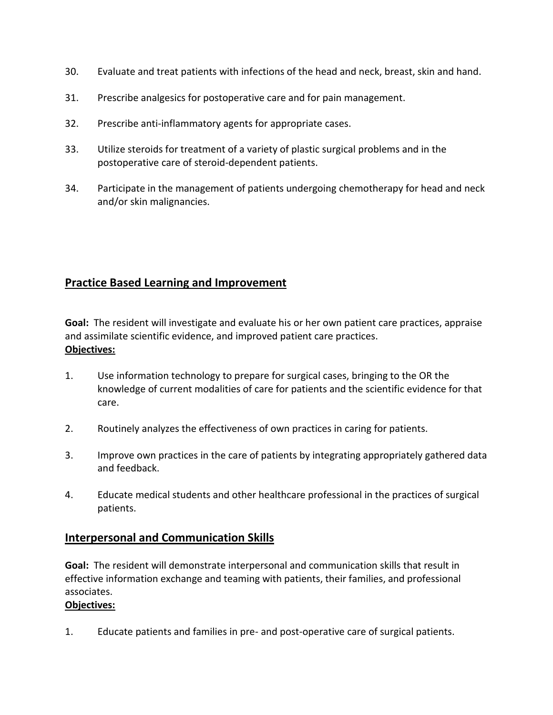- 30. Evaluate and treat patients with infections of the head and neck, breast, skin and hand.
- 31. Prescribe analgesics for postoperative care and for pain management.
- 32. Prescribe anti-inflammatory agents for appropriate cases.
- 33. Utilize steroids for treatment of a variety of plastic surgical problems and in the postoperative care of steroid-dependent patients.
- 34. Participate in the management of patients undergoing chemotherapy for head and neck and/or skin malignancies.

# **Practice Based Learning and Improvement**

**Goal:** The resident will investigate and evaluate his or her own patient care practices, appraise and assimilate scientific evidence, and improved patient care practices. **Objectives:**

- 1. Use information technology to prepare for surgical cases, bringing to the OR the knowledge of current modalities of care for patients and the scientific evidence for that care.
- 2. Routinely analyzes the effectiveness of own practices in caring for patients.
- 3. Improve own practices in the care of patients by integrating appropriately gathered data and feedback.
- 4. Educate medical students and other healthcare professional in the practices of surgical patients.

### **Interpersonal and Communication Skills**

**Goal:** The resident will demonstrate interpersonal and communication skills that result in effective information exchange and teaming with patients, their families, and professional associates.

### **Objectives:**

1. Educate patients and families in pre- and post-operative care of surgical patients.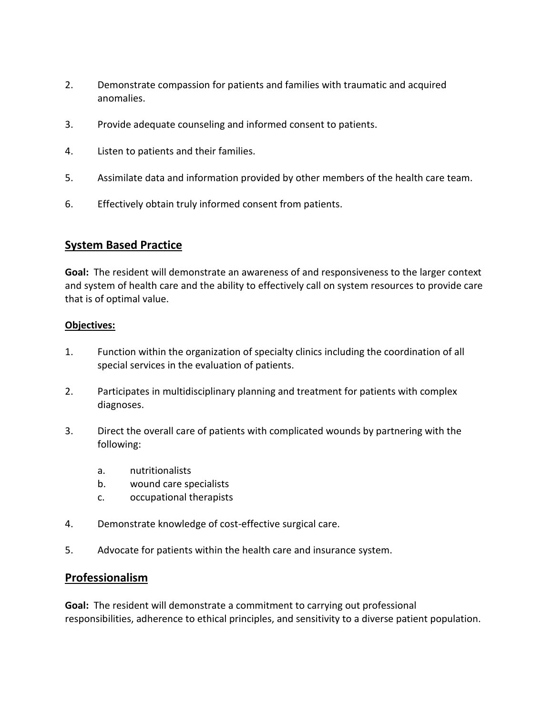- 2. Demonstrate compassion for patients and families with traumatic and acquired anomalies.
- 3. Provide adequate counseling and informed consent to patients.
- 4. Listen to patients and their families.
- 5. Assimilate data and information provided by other members of the health care team.
- 6. Effectively obtain truly informed consent from patients.

# **System Based Practice**

**Goal:** The resident will demonstrate an awareness of and responsiveness to the larger context and system of health care and the ability to effectively call on system resources to provide care that is of optimal value.

#### **Objectives:**

- 1. Function within the organization of specialty clinics including the coordination of all special services in the evaluation of patients.
- 2. Participates in multidisciplinary planning and treatment for patients with complex diagnoses.
- 3. Direct the overall care of patients with complicated wounds by partnering with the following:
	- a. nutritionalists
	- b. wound care specialists
	- c. occupational therapists
- 4. Demonstrate knowledge of cost-effective surgical care.
- 5. Advocate for patients within the health care and insurance system.

### **Professionalism**

**Goal:** The resident will demonstrate a commitment to carrying out professional responsibilities, adherence to ethical principles, and sensitivity to a diverse patient population.